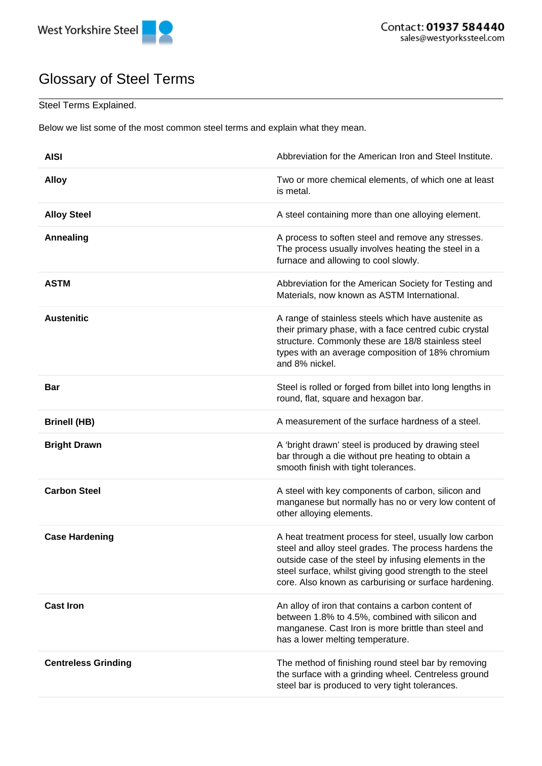

## Glossary of Steel Terms

## Steel Terms Explained.

Below we list some of the most common steel terms and explain what they mean.

| <b>AISI</b>                | Abbreviation for the American Iron and Steel Institute.                                                                                                                                                                                                                                      |
|----------------------------|----------------------------------------------------------------------------------------------------------------------------------------------------------------------------------------------------------------------------------------------------------------------------------------------|
| <b>Alloy</b>               | Two or more chemical elements, of which one at least<br>is metal.                                                                                                                                                                                                                            |
| <b>Alloy Steel</b>         | A steel containing more than one alloying element.                                                                                                                                                                                                                                           |
| <b>Annealing</b>           | A process to soften steel and remove any stresses.<br>The process usually involves heating the steel in a<br>furnace and allowing to cool slowly.                                                                                                                                            |
| <b>ASTM</b>                | Abbreviation for the American Society for Testing and<br>Materials, now known as ASTM International.                                                                                                                                                                                         |
| <b>Austenitic</b>          | A range of stainless steels which have austenite as<br>their primary phase, with a face centred cubic crystal<br>structure. Commonly these are 18/8 stainless steel<br>types with an average composition of 18% chromium<br>and 8% nickel.                                                   |
| <b>Bar</b>                 | Steel is rolled or forged from billet into long lengths in<br>round, flat, square and hexagon bar.                                                                                                                                                                                           |
| <b>Brinell (HB)</b>        | A measurement of the surface hardness of a steel.                                                                                                                                                                                                                                            |
| <b>Bright Drawn</b>        | A 'bright drawn' steel is produced by drawing steel<br>bar through a die without pre heating to obtain a<br>smooth finish with tight tolerances.                                                                                                                                             |
| <b>Carbon Steel</b>        | A steel with key components of carbon, silicon and<br>manganese but normally has no or very low content of<br>other alloying elements.                                                                                                                                                       |
| <b>Case Hardening</b>      | A heat treatment process for steel, usually low carbon<br>steel and alloy steel grades. The process hardens the<br>outside case of the steel by infusing elements in the<br>steel surface, whilst giving good strength to the steel<br>core. Also known as carburising or surface hardening. |
| <b>Cast Iron</b>           | An alloy of iron that contains a carbon content of<br>between 1.8% to 4.5%, combined with silicon and<br>manganese. Cast Iron is more brittle than steel and<br>has a lower melting temperature.                                                                                             |
| <b>Centreless Grinding</b> | The method of finishing round steel bar by removing<br>the surface with a grinding wheel. Centreless ground<br>steel bar is produced to very tight tolerances.                                                                                                                               |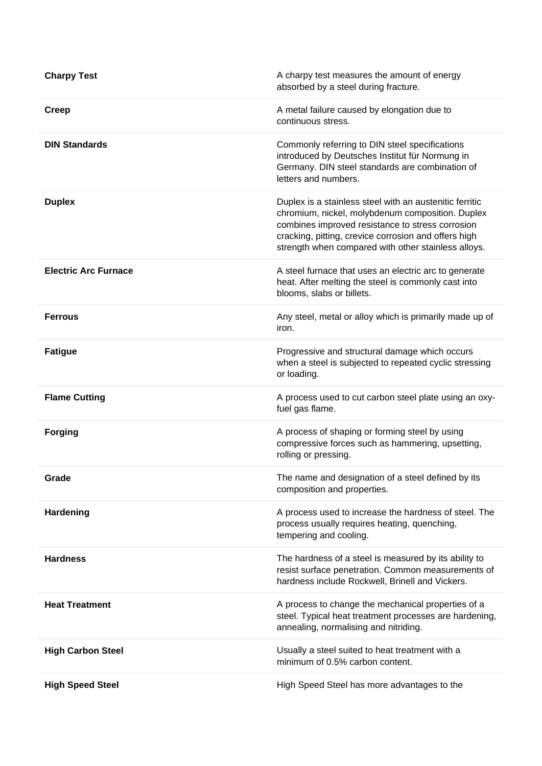| <b>Charpy Test</b>          | A charpy test measures the amount of energy<br>absorbed by a steel during fracture.                                                                                                                                                                                            |
|-----------------------------|--------------------------------------------------------------------------------------------------------------------------------------------------------------------------------------------------------------------------------------------------------------------------------|
| <b>Creep</b>                | A metal failure caused by elongation due to<br>continuous stress.                                                                                                                                                                                                              |
| <b>DIN Standards</b>        | Commonly referring to DIN steel specifications<br>introduced by Deutsches Institut für Normung in<br>Germany. DIN steel standards are combination of<br>letters and numbers.                                                                                                   |
| <b>Duplex</b>               | Duplex is a stainless steel with an austenitic ferritic<br>chromium, nickel, molybdenum composition. Duplex<br>combines improved resistance to stress corrosion<br>cracking, pitting, crevice corrosion and offers high<br>strength when compared with other stainless alloys. |
| <b>Electric Arc Furnace</b> | A steel furnace that uses an electric arc to generate<br>heat. After melting the steel is commonly cast into<br>blooms, slabs or billets.                                                                                                                                      |
| <b>Ferrous</b>              | Any steel, metal or alloy which is primarily made up of<br>iron.                                                                                                                                                                                                               |
| <b>Fatigue</b>              | Progressive and structural damage which occurs<br>when a steel is subjected to repeated cyclic stressing<br>or loading.                                                                                                                                                        |
| <b>Flame Cutting</b>        | A process used to cut carbon steel plate using an oxy-<br>fuel gas flame.                                                                                                                                                                                                      |
| <b>Forging</b>              | A process of shaping or forming steel by using<br>compressive forces such as hammering, upsetting,<br>rolling or pressing.                                                                                                                                                     |
| Grade                       | The name and designation of a steel defined by its<br>composition and properties.                                                                                                                                                                                              |
| Hardening                   | A process used to increase the hardness of steel. The<br>process usually requires heating, quenching,<br>tempering and cooling.                                                                                                                                                |
| <b>Hardness</b>             | The hardness of a steel is measured by its ability to<br>resist surface penetration. Common measurements of<br>hardness include Rockwell, Brinell and Vickers.                                                                                                                 |
| <b>Heat Treatment</b>       | A process to change the mechanical properties of a<br>steel. Typical heat treatment processes are hardening,<br>annealing, normalising and nitriding.                                                                                                                          |
| <b>High Carbon Steel</b>    | Usually a steel suited to heat treatment with a<br>minimum of 0.5% carbon content.                                                                                                                                                                                             |
| <b>High Speed Steel</b>     | High Speed Steel has more advantages to the                                                                                                                                                                                                                                    |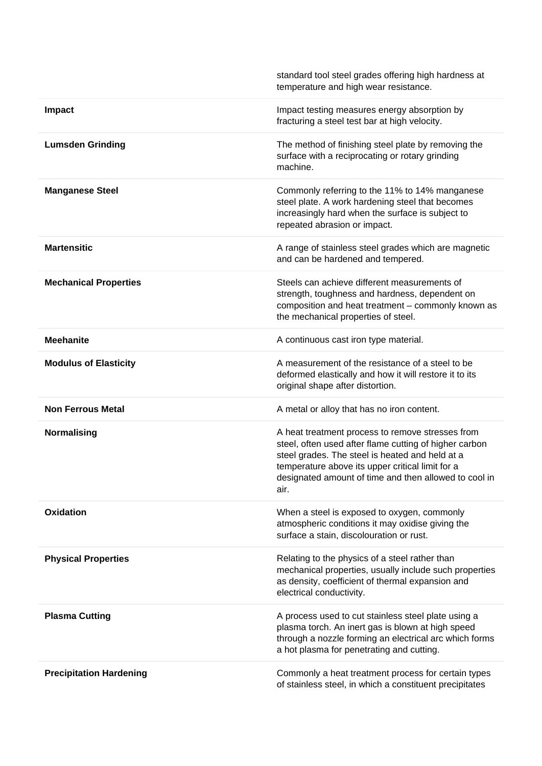|                                | standard tool steel grades offering high hardness at<br>temperature and high wear resistance.                                                                                                                                                                                      |
|--------------------------------|------------------------------------------------------------------------------------------------------------------------------------------------------------------------------------------------------------------------------------------------------------------------------------|
| <b>Impact</b>                  | Impact testing measures energy absorption by<br>fracturing a steel test bar at high velocity.                                                                                                                                                                                      |
| <b>Lumsden Grinding</b>        | The method of finishing steel plate by removing the<br>surface with a reciprocating or rotary grinding<br>machine.                                                                                                                                                                 |
| <b>Manganese Steel</b>         | Commonly referring to the 11% to 14% manganese<br>steel plate. A work hardening steel that becomes<br>increasingly hard when the surface is subject to<br>repeated abrasion or impact.                                                                                             |
| <b>Martensitic</b>             | A range of stainless steel grades which are magnetic<br>and can be hardened and tempered.                                                                                                                                                                                          |
| <b>Mechanical Properties</b>   | Steels can achieve different measurements of<br>strength, toughness and hardness, dependent on<br>composition and heat treatment - commonly known as<br>the mechanical properties of steel.                                                                                        |
| <b>Meehanite</b>               | A continuous cast iron type material.                                                                                                                                                                                                                                              |
| <b>Modulus of Elasticity</b>   | A measurement of the resistance of a steel to be<br>deformed elastically and how it will restore it to its<br>original shape after distortion.                                                                                                                                     |
| <b>Non Ferrous Metal</b>       | A metal or alloy that has no iron content.                                                                                                                                                                                                                                         |
| Normalising                    | A heat treatment process to remove stresses from<br>steel, often used after flame cutting of higher carbon<br>steel grades. The steel is heated and held at a<br>temperature above its upper critical limit for a<br>designated amount of time and then allowed to cool in<br>air. |
| <b>Oxidation</b>               | When a steel is exposed to oxygen, commonly<br>atmospheric conditions it may oxidise giving the<br>surface a stain, discolouration or rust.                                                                                                                                        |
| <b>Physical Properties</b>     | Relating to the physics of a steel rather than<br>mechanical properties, usually include such properties<br>as density, coefficient of thermal expansion and<br>electrical conductivity.                                                                                           |
| <b>Plasma Cutting</b>          | A process used to cut stainless steel plate using a<br>plasma torch. An inert gas is blown at high speed<br>through a nozzle forming an electrical arc which forms<br>a hot plasma for penetrating and cutting.                                                                    |
| <b>Precipitation Hardening</b> | Commonly a heat treatment process for certain types<br>of stainless steel, in which a constituent precipitates                                                                                                                                                                     |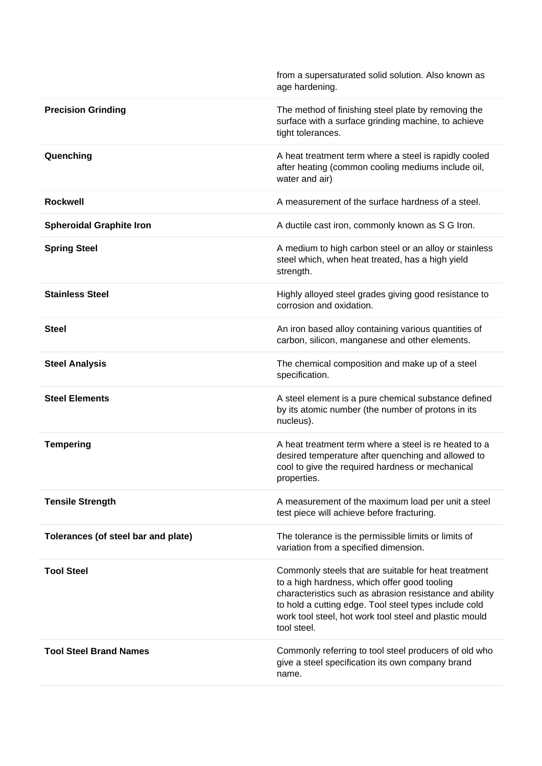|                                     | from a supersaturated solid solution. Also known as<br>age hardening.                                                                                                                                                                                                                             |
|-------------------------------------|---------------------------------------------------------------------------------------------------------------------------------------------------------------------------------------------------------------------------------------------------------------------------------------------------|
| <b>Precision Grinding</b>           | The method of finishing steel plate by removing the<br>surface with a surface grinding machine, to achieve<br>tight tolerances.                                                                                                                                                                   |
| Quenching                           | A heat treatment term where a steel is rapidly cooled<br>after heating (common cooling mediums include oil,<br>water and air)                                                                                                                                                                     |
| <b>Rockwell</b>                     | A measurement of the surface hardness of a steel.                                                                                                                                                                                                                                                 |
| <b>Spheroidal Graphite Iron</b>     | A ductile cast iron, commonly known as S G Iron.                                                                                                                                                                                                                                                  |
| <b>Spring Steel</b>                 | A medium to high carbon steel or an alloy or stainless<br>steel which, when heat treated, has a high yield<br>strength.                                                                                                                                                                           |
| <b>Stainless Steel</b>              | Highly alloyed steel grades giving good resistance to<br>corrosion and oxidation.                                                                                                                                                                                                                 |
| <b>Steel</b>                        | An iron based alloy containing various quantities of<br>carbon, silicon, manganese and other elements.                                                                                                                                                                                            |
| <b>Steel Analysis</b>               | The chemical composition and make up of a steel<br>specification.                                                                                                                                                                                                                                 |
| <b>Steel Elements</b>               | A steel element is a pure chemical substance defined<br>by its atomic number (the number of protons in its<br>nucleus).                                                                                                                                                                           |
| <b>Tempering</b>                    | A heat treatment term where a steel is re heated to a<br>desired temperature after quenching and allowed to<br>cool to give the required hardness or mechanical<br>properties.                                                                                                                    |
| <b>Tensile Strength</b>             | A measurement of the maximum load per unit a steel<br>test piece will achieve before fracturing.                                                                                                                                                                                                  |
| Tolerances (of steel bar and plate) | The tolerance is the permissible limits or limits of<br>variation from a specified dimension.                                                                                                                                                                                                     |
| <b>Tool Steel</b>                   | Commonly steels that are suitable for heat treatment<br>to a high hardness, which offer good tooling<br>characteristics such as abrasion resistance and ability<br>to hold a cutting edge. Tool steel types include cold<br>work tool steel, hot work tool steel and plastic mould<br>tool steel. |
| <b>Tool Steel Brand Names</b>       | Commonly referring to tool steel producers of old who<br>give a steel specification its own company brand<br>name.                                                                                                                                                                                |